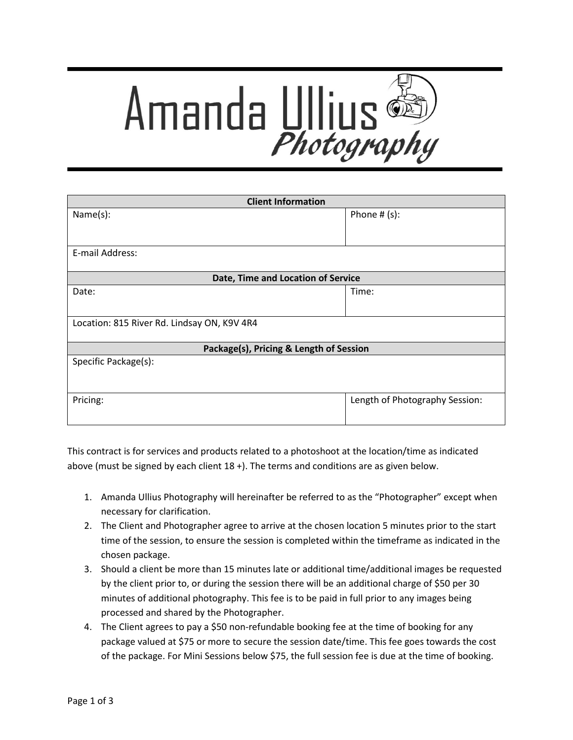

| <b>Client Information</b>                   |                                |
|---------------------------------------------|--------------------------------|
| Name(s):                                    | Phone $# (s)$ :                |
|                                             |                                |
|                                             |                                |
| E-mail Address:                             |                                |
|                                             |                                |
| Date, Time and Location of Service          |                                |
| Date:                                       | Time:                          |
|                                             |                                |
| Location: 815 River Rd. Lindsay ON, K9V 4R4 |                                |
| Package(s), Pricing & Length of Session     |                                |
|                                             |                                |
| Specific Package(s):                        |                                |
|                                             |                                |
| Pricing:                                    | Length of Photography Session: |
|                                             |                                |
|                                             |                                |

This contract is for services and products related to a photoshoot at the location/time as indicated above (must be signed by each client 18 +). The terms and conditions are as given below.

- 1. Amanda Ullius Photography will hereinafter be referred to as the "Photographer" except when necessary for clarification.
- 2. The Client and Photographer agree to arrive at the chosen location 5 minutes prior to the start time of the session, to ensure the session is completed within the timeframe as indicated in the chosen package.
- 3. Should a client be more than 15 minutes late or additional time/additional images be requested by the client prior to, or during the session there will be an additional charge of \$50 per 30 minutes of additional photography. This fee is to be paid in full prior to any images being processed and shared by the Photographer.
- 4. The Client agrees to pay a \$50 non-refundable booking fee at the time of booking for any package valued at \$75 or more to secure the session date/time. This fee goes towards the cost of the package. For Mini Sessions below \$75, the full session fee is due at the time of booking.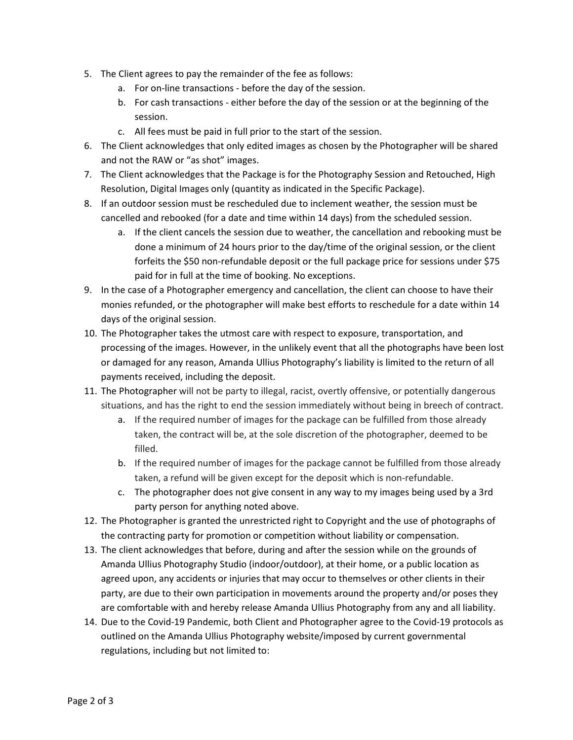- 5. The Client agrees to pay the remainder of the fee as follows:
	- a. For on-line transactions before the day of the session.
	- b. For cash transactions either before the day of the session or at the beginning of the session.
	- c. All fees must be paid in full prior to the start of the session.
- 6. The Client acknowledges that only edited images as chosen by the Photographer will be shared and not the RAW or "as shot" images.
- 7. The Client acknowledges that the Package is for the Photography Session and Retouched, High Resolution, Digital Images only (quantity as indicated in the Specific Package).
- 8. If an outdoor session must be rescheduled due to inclement weather, the session must be cancelled and rebooked (for a date and time within 14 days) from the scheduled session.
	- a. If the client cancels the session due to weather, the cancellation and rebooking must be done a minimum of 24 hours prior to the day/time of the original session, or the client forfeits the \$50 non-refundable deposit or the full package price for sessions under \$75 paid for in full at the time of booking. No exceptions.
- 9. In the case of a Photographer emergency and cancellation, the client can choose to have their monies refunded, or the photographer will make best efforts to reschedule for a date within 14 days of the original session.
- 10. The Photographer takes the utmost care with respect to exposure, transportation, and processing of the images. However, in the unlikely event that all the photographs have been lost or damaged for any reason, Amanda Ullius Photography's liability is limited to the return of all payments received, including the deposit.
- 11. The Photographer will not be party to illegal, racist, overtly offensive, or potentially dangerous situations, and has the right to end the session immediately without being in breech of contract.
	- a. If the required number of images for the package can be fulfilled from those already taken, the contract will be, at the sole discretion of the photographer, deemed to be filled.
	- b. If the required number of images for the package cannot be fulfilled from those already taken, a refund will be given except for the deposit which is non-refundable.
	- c. The photographer does not give consent in any way to my images being used by a 3rd party person for anything noted above.
- 12. The Photographer is granted the unrestricted right to Copyright and the use of photographs of the contracting party for promotion or competition without liability or compensation.
- 13. The client acknowledges that before, during and after the session while on the grounds of Amanda Ullius Photography Studio (indoor/outdoor), at their home, or a public location as agreed upon, any accidents or injuries that may occur to themselves or other clients in their party, are due to their own participation in movements around the property and/or poses they are comfortable with and hereby release Amanda Ullius Photography from any and all liability.
- 14. Due to the Covid-19 Pandemic, both Client and Photographer agree to the Covid-19 protocols as outlined on the Amanda Ullius Photography website/imposed by current governmental regulations, including but not limited to: